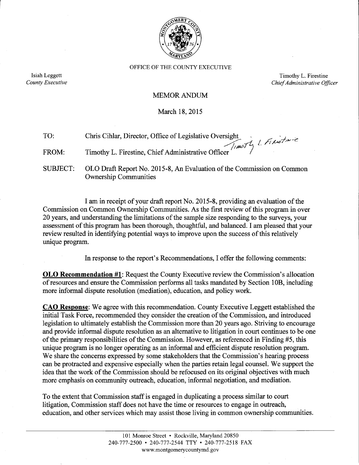

OFFICE OF THE COUNTY EXECUTIVE

Isiah Leggett County Executive

Timothy L. Firestine Chief Administrative Officer

#### **MEMOR ANDUM**

March 18, 2015

| TO:   | Chris Cihlar, Director, Office of Legislative Oversight<br>Timothy L. Firestine, Chief Administrative Officer |
|-------|---------------------------------------------------------------------------------------------------------------|
| FROM: |                                                                                                               |

**SUBJECT:** OLO Draft Report No. 2015-8, An Evaluation of the Commission on Common **Ownership Communities** 

I am in receipt of your draft report No. 2015-8, providing an evaluation of the Commission on Common Ownership Communities. As the first review of this program in over 20 years, and understanding the limitations of the sample size responding to the surveys, your assessment of this program has been thorough, thoughtful, and balanced. I am pleased that your review resulted in identifying potential ways to improve upon the success of this relatively unique program.

In response to the report's Recommendations, I offer the following comments:

**OLO Recommendation #1:** Request the County Executive review the Commission's allocation of resources and ensure the Commission performs all tasks mandated by Section 10B, including more informal dispute resolution (mediation), education, and policy work.

**CAO Response:** We agree with this recommendation. County Executive Leggett established the initial Task Force, recommended they consider the creation of the Commission, and introduced legislation to ultimately establish the Commission more than 20 years ago. Striving to encourage and provide informal dispute resolution as an alternative to litigation in court continues to be one of the primary responsibilities of the Commission. However, as referenced in Finding #5, this unique program is no longer operating as an informal and efficient dispute resolution program. We share the concerns expressed by some stakeholders that the Commission's hearing process can be protracted and expensive especially when the parties retain legal counsel. We support the idea that the work of the Commission should be refocused on its original objectives with much more emphasis on community outreach, education, informal negotiation, and mediation.

To the extent that Commission staff is engaged in duplicating a process similar to court litigation, Commission staff does not have the time or resources to engage in outreach, education, and other services which may assist those living in common ownership communities.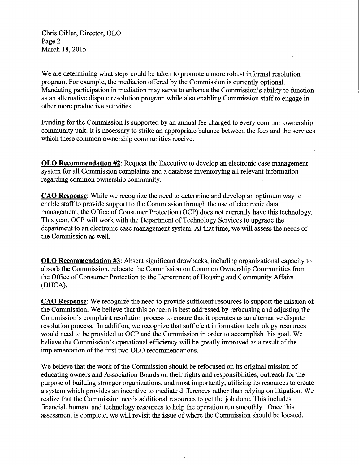Chris Cihlar, Director, OLO Page 2 March 18, 2015

We are determining what steps could be taken to promote a more robust informal resolution program. For example, the mediation offered by the Commission is currently optional. Mandating participation in mediation may serve to enhance the Commission's ability to function as an alternative dispute resolution program while also enabling Commission staff to engage in other more productive activities.

Funding for the Commission is supported by an annual fee charged to every common ownership community unit. It is necessary to strike an appropriate balance between the fees and the services which these common ownership communities receive.

**OLO Recommendation #2:** Request the Executive to develop an electronic case management system for all Commission complaints and a database inventorying all relevant information regarding common ownership community.

**CAO Response:** While we recognize the need to determine and develop an optimum way to enable staff to provide support to the Commission through the use of electronic data management, the Office of Consumer Protection (OCP) does not currently have this technology. This year, OCP will work with the Department of Technology Services to upgrade the department to an electronic case management system. At that time, we will assess the needs of the Commission as well.

**OLO Recommendation #3:** Absent significant drawbacks, including organizational capacity to absorb the Commission, relocate the Commission on Common Ownership Communities from the Office of Consumer Protection to the Department of Housing and Community Affairs (DHCA).

**CAO Response:** We recognize the need to provide sufficient resources to support the mission of the Commission. We believe that this concern is best addressed by refocusing and adjusting the Commission's complaint resolution process to ensure that it operates as an alternative dispute resolution process. In addition, we recognize that sufficient information technology resources would need to be provided to OCP and the Commission in order to accomplish this goal. We believe the Commission's operational efficiency will be greatly improved as a result of the implementation of the first two OLO recommendations.

We believe that the work of the Commission should be refocused on its original mission of educating owners and Association Boards on their rights and responsibilities, outreach for the purpose of building stronger organizations, and most importantly, utilizing its resources to create a system which provides an incentive to mediate differences rather than relying on litigation. We realize that the Commission needs additional resources to get the job done. This includes financial, human, and technology resources to help the operation run smoothly. Once this assessment is complete, we will revisit the issue of where the Commission should be located.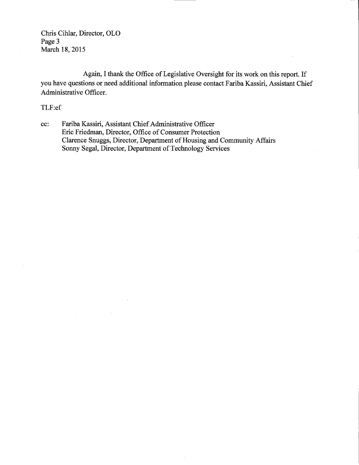Chris Cihlar, Director, OLO Page 3 March 18, 2015

Again, I thank the Office of Legislative Oversight for its work on this report. If you have questions or need additional information please contact Fariba Kassiri, Assistant Chief Administrative Officer.

## TLF:ef

Fariba Kassiri, Assistant Chief Administrative Officer  $cc$ : Eric Friedman, Director, Office of Consumer Protection Clarence Snuggs, Director, Department of Housing and Community Affairs Sonny Segal, Director, Department of Technology Services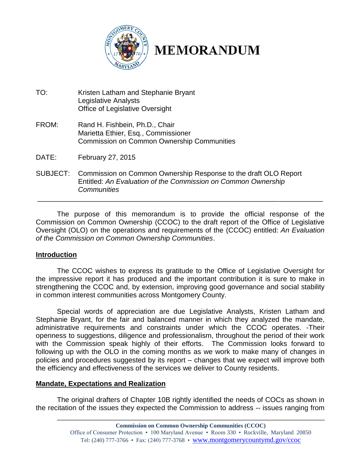

# **MEMORANDUM**

- TO: Kristen Latham and Stephanie Bryant Legislative Analysts Office of Legislative Oversight
- FROM: Rand H. Fishbein, Ph.D., Chair Marietta Ethier, Esq., Commissioner Commission on Common Ownership Communities
- DATE: February 27, 2015
- SUBJECT: Commission on Common Ownership Response to the draft OLO Report Entitled: *An Evaluation of the Commission on Common Ownership Communities*

The purpose of this memorandum is to provide the official response of the Commission on Common Ownership (CCOC) to the draft report of the Office of Legislative Oversight (OLO) on the operations and requirements of the (CCOC) entitled: *An Evaluation of the Commission on Common Ownership Communities*.

\_\_\_\_\_\_\_\_\_\_\_\_\_\_\_\_\_\_\_\_\_\_\_\_\_\_\_\_\_\_\_\_\_\_\_\_\_\_\_\_\_\_\_\_\_\_\_\_\_\_\_\_\_\_\_\_\_\_\_\_\_\_\_\_\_\_\_\_\_\_\_\_\_

## **Introduction**

The CCOC wishes to express its gratitude to the Office of Legislative Oversight for the impressive report it has produced and the important contribution it is sure to make in strengthening the CCOC and, by extension, improving good governance and social stability in common interest communities across Montgomery County.

Special words of appreciation are due Legislative Analysts, Kristen Latham and Stephanie Bryant, for the fair and balanced manner in which they analyzed the mandate, administrative requirements and constraints under which the CCOC operates. -Their openness to suggestions, diligence and professionalism, throughout the period of their work with the Commission speak highly of their efforts. The Commission looks forward to following up with the OLO in the coming months as we work to make many of changes in policies and procedures suggested by its report – changes that we expect will improve both the efficiency and effectiveness of the services we deliver to County residents.

## **Mandate, Expectations and Realization**

The original drafters of Chapter 10B rightly identified the needs of COCs as shown in the recitation of the issues they expected the Commission to address -- issues ranging from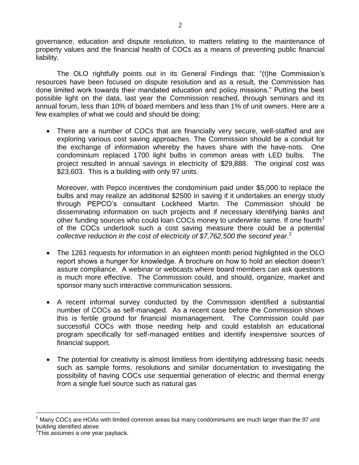governance, education and dispute resolution, to matters relating to the maintenance of property values and the financial health of COCs as a means of preventing public financial liability.

The OLO rightfully points out in its General Findings that: "(t)he Commission's resources have been focused on dispute resolution and as a result, the Commission has done limited work towards their mandated education and policy missions." Putting the best possible light on the data, last year the Commission reached, through seminars and its annual forum, less than 10% of board members and less than 1% of unit owners. Here are a few examples of what we could and should be doing:

 There are a number of COCs that are financially very secure, well-staffed and are exploring various cost saving approaches. The Commission should be a conduit for the exchange of information whereby the haves share with the have-nots. One condominium replaced 1700 light bulbs in common areas with LED bulbs. The project resulted in annual savings in electricity of \$29,888. The original cost was \$23,603. This is a building with only 97 units.

Moreover, with Pepco incentives the condominium paid under \$5,000 to replace the bulbs and may realize an additional \$2500 in saving if it undertakes an energy study through PEPCO's consultant Lockheed Martin. The Commission should be disseminating information on such projects and if necessary identifying banks and other funding sources who could loan COCs money to underwrite same. If one fourth<sup>1</sup> of the COCs undertook such a cost saving measure there could be a potential *collective reduction in the cost of electricity of \$7,762,500 the second year*. 2

- The 1261 requests for information in an eighteen month period highlighted in the OLO report shows a hunger for knowledge. A brochure on how to hold an election doesn't assure compliance. A webinar or webcasts where board members can ask questions is much more effective. The Commission could, and should, organize, market and sponsor many such interactive communication sessions.
- A recent informal survey conducted by the Commission identified a substantial number of COCs as self-managed. As a recent case before the Commission shows this is fertile ground for financial mismanagement. The Commission could pair successful COCs with those needing help and could establish an educational program specifically for self-managed entities and identify inexpensive sources of financial support.
- The potential for creativity is almost limitless from identifying addressing basic needs such as sample forms, resolutions and similar documentation to investigating the possibility of having COCs use sequential generation of electric and thermal energy from a single fuel source such as natural gas

 $\overline{a}$ 

Many COCs are HOAs with limited common areas but many condominiums are much larger than the 97 unit building identified above.

 $2$ This assumes a one year payback.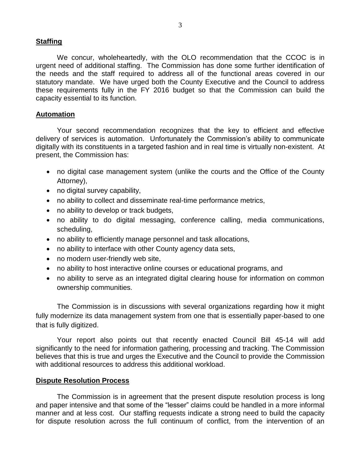## **Staffing**

We concur, wholeheartedly, with the OLO recommendation that the CCOC is in urgent need of additional staffing. The Commission has done some further identification of the needs and the staff required to address all of the functional areas covered in our statutory mandate. We have urged both the County Executive and the Council to address these requirements fully in the FY 2016 budget so that the Commission can build the capacity essential to its function.

#### **Automation**

Your second recommendation recognizes that the key to efficient and effective delivery of services is automation. Unfortunately the Commission's ability to communicate digitally with its constituents in a targeted fashion and in real time is virtually non-existent. At present, the Commission has:

- no digital case management system (unlike the courts and the Office of the County Attorney),
- no digital survey capability,
- no ability to collect and disseminate real-time performance metrics,
- no ability to develop or track budgets,
- no ability to do digital messaging, conference calling, media communications, scheduling,
- no ability to efficiently manage personnel and task allocations,
- no ability to interface with other County agency data sets,
- no modern user-friendly web site,
- no ability to host interactive online courses or educational programs, and
- no ability to serve as an integrated digital clearing house for information on common ownership communities.

The Commission is in discussions with several organizations regarding how it might fully modernize its data management system from one that is essentially paper-based to one that is fully digitized.

Your report also points out that recently enacted Council Bill 45-14 will add significantly to the need for information gathering, processing and tracking. The Commission believes that this is true and urges the Executive and the Council to provide the Commission with additional resources to address this additional workload.

#### **Dispute Resolution Process**

The Commission is in agreement that the present dispute resolution process is long and paper intensive and that some of the "lesser" claims could be handled in a more informal manner and at less cost. Our staffing requests indicate a strong need to build the capacity for dispute resolution across the full continuum of conflict, from the intervention of an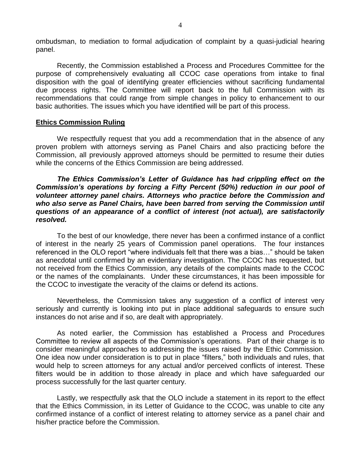ombudsman, to mediation to formal adjudication of complaint by a quasi-judicial hearing panel.

Recently, the Commission established a Process and Procedures Committee for the purpose of comprehensively evaluating all CCOC case operations from intake to final disposition with the goal of identifying greater efficiencies without sacrificing fundamental due process rights. The Committee will report back to the full Commission with its recommendations that could range from simple changes in policy to enhancement to our basic authorities. The issues which you have identified will be part of this process.

#### **Ethics Commission Ruling**

We respectfully request that you add a recommendation that in the absence of any proven problem with attorneys serving as Panel Chairs and also practicing before the Commission, all previously approved attorneys should be permitted to resume their duties while the concerns of the Ethics Commission are being addressed.

*The Ethics Commission's Letter of Guidance has had crippling effect on the Commission's operations by forcing a Fifty Percent (50%) reduction in our pool of volunteer attorney panel chairs. Attorneys who practice before the Commission and who also serve as Panel Chairs, have been barred from serving the Commission until questions of an appearance of a conflict of interest (not actual), are satisfactorily resolved.*

To the best of our knowledge, there never has been a confirmed instance of a conflict of interest in the nearly 25 years of Commission panel operations. The four instances referenced in the OLO report "where individuals felt that there was a bias…" should be taken as anecdotal until confirmed by an evidentiary investigation. The CCOC has requested, but not received from the Ethics Commission, any details of the complaints made to the CCOC or the names of the complainants. Under these circumstances, it has been impossible for the CCOC to investigate the veracity of the claims or defend its actions.

Nevertheless, the Commission takes any suggestion of a conflict of interest very seriously and currently is looking into put in place additional safeguards to ensure such instances do not arise and if so, are dealt with appropriately.

As noted earlier, the Commission has established a Process and Procedures Committee to review all aspects of the Commission's operations. Part of their charge is to consider meaningful approaches to addressing the issues raised by the Ethic Commission. One idea now under consideration is to put in place "filters," both individuals and rules, that would help to screen attorneys for any actual and/or perceived conflicts of interest. These filters would be in addition to those already in place and which have safeguarded our process successfully for the last quarter century.

Lastly, we respectfully ask that the OLO include a statement in its report to the effect that the Ethics Commission, in its Letter of Guidance to the CCOC, was unable to cite any confirmed instance of a conflict of interest relating to attorney service as a panel chair and his/her practice before the Commission.